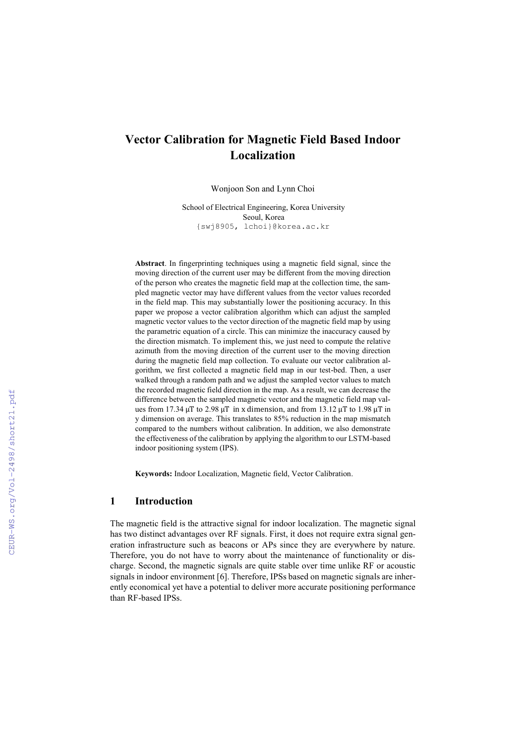# **Vector Calibration for Magnetic Field Based Indoor Localization**

Wonjoon Son and Lynn Choi

School of Electrical Engineering, Korea University Seoul, Korea {swj8905, lchoi}@korea.ac.kr

**Abstract**. In fingerprinting techniques using a magnetic field signal, since the moving direction of the current user may be different from the moving direction of the person who creates the magnetic field map at the collection time, the sampled magnetic vector may have different values from the vector values recorded in the field map. This may substantially lower the positioning accuracy. In this paper we propose a vector calibration algorithm which can adjust the sampled magnetic vector values to the vector direction of the magnetic field map by using the parametric equation of a circle. This can minimize the inaccuracy caused by the direction mismatch. To implement this, we just need to compute the relative azimuth from the moving direction of the current user to the moving direction during the magnetic field map collection. To evaluate our vector calibration algorithm, we first collected a magnetic field map in our test-bed. Then, a user walked through a random path and we adjust the sampled vector values to match the recorded magnetic field direction in the map. As a result, we can decrease the difference between the sampled magnetic vector and the magnetic field map values from 17.34 μT to 2.98 μT in x dimension, and from 13.12 μT to 1.98 μT in y dimension on average. This translates to 85% reduction in the map mismatch compared to the numbers without calibration. In addition, we also demonstrate the effectiveness of the calibration by applying the algorithm to our LSTM-based indoor positioning system (IPS).

**Keywords:** Indoor Localization, Magnetic field, Vector Calibration.

### **1 Introduction**

The magnetic field is the attractive signal for indoor localization. The magnetic signal has two distinct advantages over RF signals. First, it does not require extra signal generation infrastructure such as beacons or APs since they are everywhere by nature. Therefore, you do not have to worry about the maintenance of functionality or discharge. Second, the magnetic signals are quite stable over time unlike RF or acoustic signals in indoor environment [6]. Therefore, IPSs based on magnetic signals are inherently economical yet have a potential to deliver more accurate positioning performance than RF-based IPSs.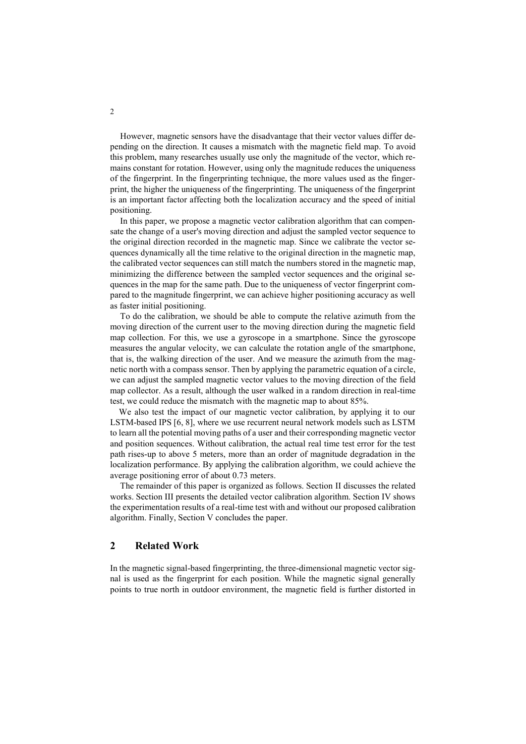However, magnetic sensors have the disadvantage that their vector values differ depending on the direction. It causes a mismatch with the magnetic field map. To avoid this problem, many researches usually use only the magnitude of the vector, which remains constant for rotation. However, using only the magnitude reduces the uniqueness of the fingerprint. In the fingerprinting technique, the more values used as the fingerprint, the higher the uniqueness of the fingerprinting. The uniqueness of the fingerprint is an important factor affecting both the localization accuracy and the speed of initial positioning.

In this paper, we propose a magnetic vector calibration algorithm that can compensate the change of a user's moving direction and adjust the sampled vector sequence to the original direction recorded in the magnetic map. Since we calibrate the vector sequences dynamically all the time relative to the original direction in the magnetic map, the calibrated vector sequences can still match the numbers stored in the magnetic map, minimizing the difference between the sampled vector sequences and the original sequences in the map for the same path. Due to the uniqueness of vector fingerprint compared to the magnitude fingerprint, we can achieve higher positioning accuracy as well as faster initial positioning.

To do the calibration, we should be able to compute the relative azimuth from the moving direction of the current user to the moving direction during the magnetic field map collection. For this, we use a gyroscope in a smartphone. Since the gyroscope measures the angular velocity, we can calculate the rotation angle of the smartphone, that is, the walking direction of the user. And we measure the azimuth from the magnetic north with a compass sensor. Then by applying the parametric equation of a circle, we can adjust the sampled magnetic vector values to the moving direction of the field map collector. As a result, although the user walked in a random direction in real-time test, we could reduce the mismatch with the magnetic map to about 85%.

We also test the impact of our magnetic vector calibration, by applying it to our LSTM-based IPS [6, 8], where we use recurrent neural network models such as LSTM to learn all the potential moving paths of a user and their corresponding magnetic vector and position sequences. Without calibration, the actual real time test error for the test path rises-up to above 5 meters, more than an order of magnitude degradation in the localization performance. By applying the calibration algorithm, we could achieve the average positioning error of about 0.73 meters.

The remainder of this paper is organized as follows. Section II discusses the related works. Section III presents the detailed vector calibration algorithm. Section IV shows the experimentation results of a real-time test with and without our proposed calibration algorithm. Finally, Section V concludes the paper.

## **2 Related Work**

In the magnetic signal-based fingerprinting, the three-dimensional magnetic vector signal is used as the fingerprint for each position. While the magnetic signal generally points to true north in outdoor environment, the magnetic field is further distorted in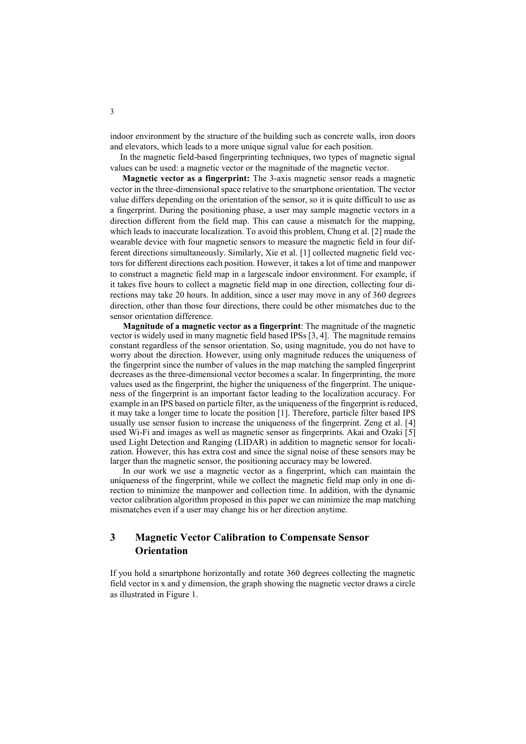indoor environment by the structure of the building such as concrete walls, iron doors and elevators, which leads to a more unique signal value for each position.

In the magnetic field-based fingerprinting techniques, two types of magnetic signal values can be used: a magnetic vector or the magnitude of the magnetic vector.

**Magnetic vector as a fingerprint:** The 3-axis magnetic sensor reads a magnetic vector in the three-dimensional space relative to the smartphone orientation. The vector value differs depending on the orientation of the sensor, so it is quite difficult to use as a fingerprint. During the positioning phase, a user may sample magnetic vectors in a direction different from the field map. This can cause a mismatch for the mapping, which leads to inaccurate localization. To avoid this problem, Chung et al. [2] made the wearable device with four magnetic sensors to measure the magnetic field in four different directions simultaneously. Similarly, Xie et al. [1] collected magnetic field vectors for different directions each position. However, it takes a lot of time and manpower to construct a magnetic field map in a largescale indoor environment. For example, if it takes five hours to collect a magnetic field map in one direction, collecting four directions may take 20 hours. In addition, since a user may move in any of 360 degrees direction, other than those four directions, there could be other mismatches due to the sensor orientation difference.

**Magnitude of a magnetic vector as a fingerprint**: The magnitude of the magnetic vector is widely used in many magnetic field based IPSs [3, 4]. The magnitude remains constant regardless of the sensor orientation. So, using magnitude, you do not have to worry about the direction. However, using only magnitude reduces the uniqueness of the fingerprint since the number of values in the map matching the sampled fingerprint decreases as the three-dimensional vector becomes a scalar. In fingerprinting, the more values used as the fingerprint, the higher the uniqueness of the fingerprint. The uniqueness of the fingerprint is an important factor leading to the localization accuracy. For example in an IPS based on particle filter, as the uniqueness of the fingerprint is reduced, it may take a longer time to locate the position [1]. Therefore, particle filter based IPS usually use sensor fusion to increase the uniqueness of the fingerprint. Zeng et al. [4] used Wi-Fi and images as well as magnetic sensor as fingerprints. Akai and Ozaki [5] used Light Detection and Ranging (LIDAR) in addition to magnetic sensor for localization. However, this has extra cost and since the signal noise of these sensors may be larger than the magnetic sensor, the positioning accuracy may be lowered.

In our work we use a magnetic vector as a fingerprint, which can maintain the uniqueness of the fingerprint, while we collect the magnetic field map only in one direction to minimize the manpower and collection time. In addition, with the dynamic vector calibration algorithm proposed in this paper we can minimize the map matching mismatches even if a user may change his or her direction anytime.

# **3 Magnetic Vector Calibration to Compensate Sensor Orientation**

If you hold a smartphone horizontally and rotate 360 degrees collecting the magnetic field vector in x and y dimension, the graph showing the magnetic vector draws a circle as illustrated in Figure 1.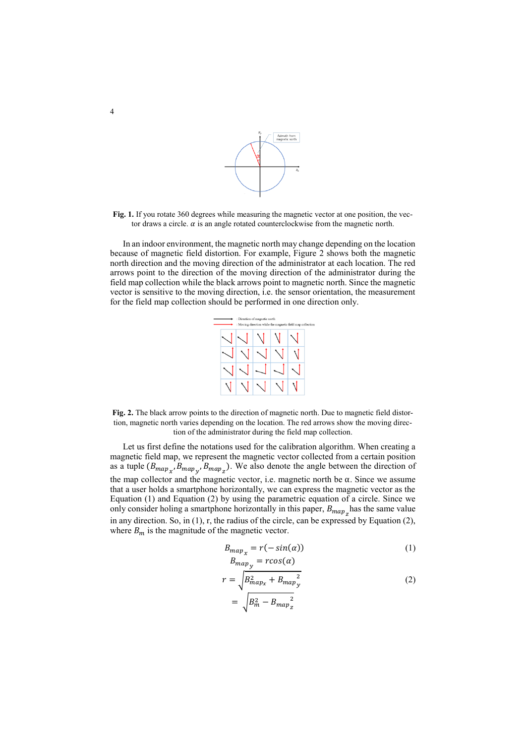

Fig. 1. If you rotate 360 degrees while measuring the magnetic vector at one position, the vector draws a circle.  $\alpha$  is an angle rotated counterclockwise from the magnetic north.

In an indoor environment, the magnetic north may change depending on the location because of magnetic field distortion. For example, Figure 2 shows both the magnetic north direction and the moving direction of the administrator at each location. The red arrows point to the direction of the moving direction of the administrator during the field map collection while the black arrows point to magnetic north. Since the magnetic vector is sensitive to the moving direction, i.e. the sensor orientation, the measurement for the field map collection should be performed in one direction only.

|  | : Direction of magnetic north<br>: Moving direction while the magnetic field map collectio |  |  |
|--|--------------------------------------------------------------------------------------------|--|--|
|  |                                                                                            |  |  |
|  |                                                                                            |  |  |
|  |                                                                                            |  |  |
|  |                                                                                            |  |  |

**Fig. 2.** The black arrow points to the direction of magnetic north. Due to magnetic field distortion, magnetic north varies depending on the location. The red arrows show the moving direction of the administrator during the field map collection.

Let us first define the notations used for the calibration algorithm. When creating a magnetic field map, we represent the magnetic vector collected from a certain position as a tuple  $(B_{map_x}, B_{map_y}, B_{map_z})$ . We also denote the angle between the direction of the map collector and the magnetic vector, i.e. magnetic north be α. Since we assume that a user holds a smartphone horizontally, we can express the magnetic vector as the Equation (1) and Equation (2) by using the parametric equation of a circle. Since we only consider holing a smartphone horizontally in this paper,  $B_{map}$  has the same value in any direction. So, in (1), r, the radius of the circle, can be expressed by Equation (2), where  $B_m$  is the magnitude of the magnetic vector.

$$
B_{map_x} = r(-\sin(\alpha))\tag{1}
$$

$$
B_{map_y} = r\cos(\alpha)
$$
  
\n
$$
r = \sqrt{B_{map_x}^2 + B_{map_y}^2}
$$
  
\n
$$
= \sqrt{B_m^2 - B_{map_z}^2}
$$
\n(2)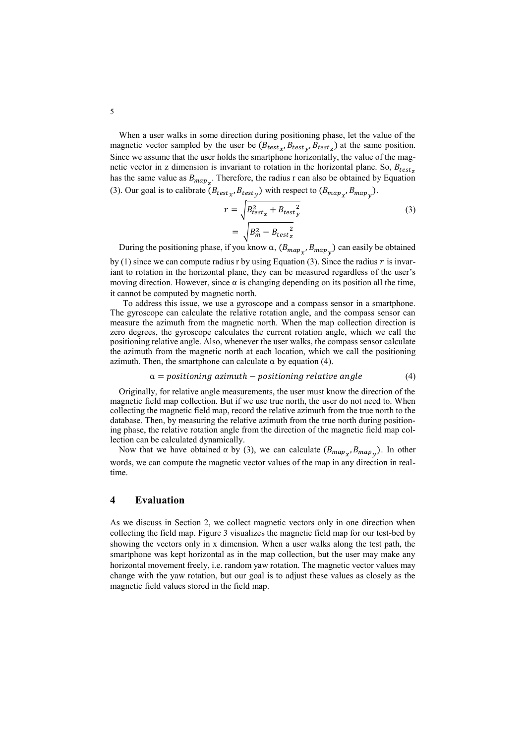When a user walks in some direction during positioning phase, let the value of the magnetic vector sampled by the user be  $(B_{test_{\chi}}, B_{test_{\chi}}, B_{test_{\chi}})$  at the same position. Since we assume that the user holds the smartphone horizontally, the value of the magnetic vector in z dimension is invariant to rotation in the horizontal plane. So,  $B_{test}$ has the same value as  $B_{map_{Z}}$ . Therefore, the radius r can also be obtained by Equation (3). Our goal is to calibrate  $(B_{test_{\chi}}, B_{test_{\chi}})$  with respect to  $(B_{map_{\chi}}, B_{map_{\chi}})$ .

$$
r = \sqrt{B_{test_x}^2 + B_{test_y}^2}
$$
  
= 
$$
\sqrt{B_m^2 - B_{test_z}^2}
$$
 (3)

During the positioning phase, if you know  $\alpha$ ,  $(B_{map_x}, B_{map_y})$  can easily be obtained by  $(1)$  since we can compute radius r by using Equation (3). Since the radius r is invariant to rotation in the horizontal plane, they can be measured regardless of the user's moving direction. However, since  $\alpha$  is changing depending on its position all the time, it cannot be computed by magnetic north.

To address this issue, we use a gyroscope and a compass sensor in a smartphone. The gyroscope can calculate the relative rotation angle, and the compass sensor can measure the azimuth from the magnetic north. When the map collection direction is zero degrees, the gyroscope calculates the current rotation angle, which we call the positioning relative angle. Also, whenever the user walks, the compass sensor calculate the azimuth from the magnetic north at each location, which we call the positioning azimuth. Then, the smartphone can calculate  $\alpha$  by equation (4).

$$
\alpha = positioning\ azimuth - positioning\ relative\ angle \tag{4}
$$

Originally, for relative angle measurements, the user must know the direction of the magnetic field map collection. But if we use true north, the user do not need to. When collecting the magnetic field map, record the relative azimuth from the true north to the database. Then, by measuring the relative azimuth from the true north during positioning phase, the relative rotation angle from the direction of the magnetic field map collection can be calculated dynamically.

Now that we have obtained  $\alpha$  by (3), we can calculate  $(B_{map_x}, B_{map_y})$ . In other words, we can compute the magnetic vector values of the map in any direction in realtime.

### **4 Evaluation**

As we discuss in Section 2, we collect magnetic vectors only in one direction when collecting the field map. Figure 3 visualizes the magnetic field map for our test-bed by showing the vectors only in x dimension. When a user walks along the test path, the smartphone was kept horizontal as in the map collection, but the user may make any horizontal movement freely, i.e. random yaw rotation. The magnetic vector values may change with the yaw rotation, but our goal is to adjust these values as closely as the magnetic field values stored in the field map.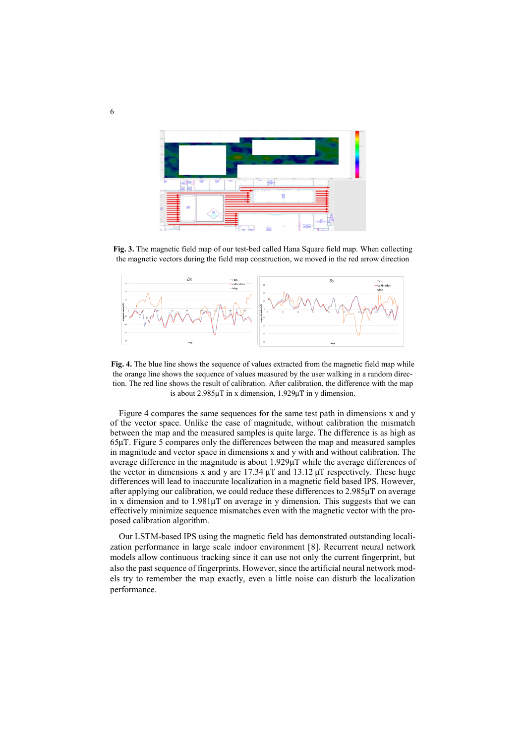

**Fig. 3.** The magnetic field map of our test-bed called Hana Square field map. When collecting the magnetic vectors during the field map construction, we moved in the red arrow direction



**Fig. 4.** The blue line shows the sequence of values extracted from the magnetic field map while the orange line shows the sequence of values measured by the user walking in a random direction. The red line shows the result of calibration. After calibration, the difference with the map is about 2.985μT in x dimension, 1.929μT in y dimension.

Figure 4 compares the same sequences for the same test path in dimensions x and y of the vector space. Unlike the case of magnitude, without calibration the mismatch between the map and the measured samples is quite large. The difference is as high as 65μT. Figure 5 compares only the differences between the map and measured samples in magnitude and vector space in dimensions x and y with and without calibration. The average difference in the magnitude is about 1.929μT while the average differences of the vector in dimensions x and y are  $17.34 \mu$ T and  $13.12 \mu$ T respectively. These huge differences will lead to inaccurate localization in a magnetic field based IPS. However, after applying our calibration, we could reduce these differences to 2.985μT on average in x dimension and to 1.981μT on average in y dimension. This suggests that we can effectively minimize sequence mismatches even with the magnetic vector with the proposed calibration algorithm.

Our LSTM-based IPS using the magnetic field has demonstrated outstanding localization performance in large scale indoor environment [8]. Recurrent neural network models allow continuous tracking since it can use not only the current fingerprint, but also the past sequence of fingerprints. However, since the artificial neural network models try to remember the map exactly, even a little noise can disturb the localization performance.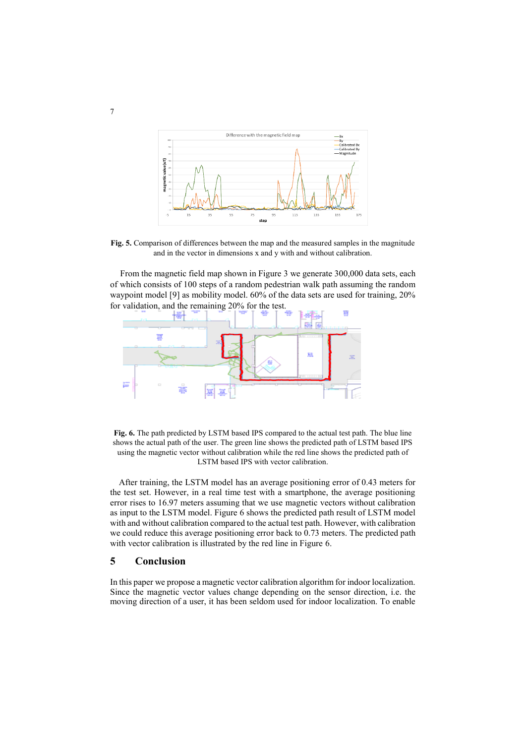

**Fig. 5.** Comparison of differences between the map and the measured samples in the magnitude and in the vector in dimensions x and y with and without calibration.

From the magnetic field map shown in Figure 3 we generate 300,000 data sets, each of which consists of 100 steps of a random pedestrian walk path assuming the random waypoint model [9] as mobility model. 60% of the data sets are used for training, 20% for validation, and the remaining 20% for the test.



**Fig. 6.** The path predicted by LSTM based IPS compared to the actual test path. The blue line shows the actual path of the user. The green line shows the predicted path of LSTM based IPS using the magnetic vector without calibration while the red line shows the predicted path of LSTM based IPS with vector calibration.

After training, the LSTM model has an average positioning error of 0.43 meters for the test set. However, in a real time test with a smartphone, the average positioning error rises to 16.97 meters assuming that we use magnetic vectors without calibration as input to the LSTM model. Figure 6 shows the predicted path result of LSTM model with and without calibration compared to the actual test path. However, with calibration we could reduce this average positioning error back to 0.73 meters. The predicted path with vector calibration is illustrated by the red line in Figure 6.

### **5 Conclusion**

In this paper we propose a magnetic vector calibration algorithm for indoor localization. Since the magnetic vector values change depending on the sensor direction, i.e. the moving direction of a user, it has been seldom used for indoor localization. To enable